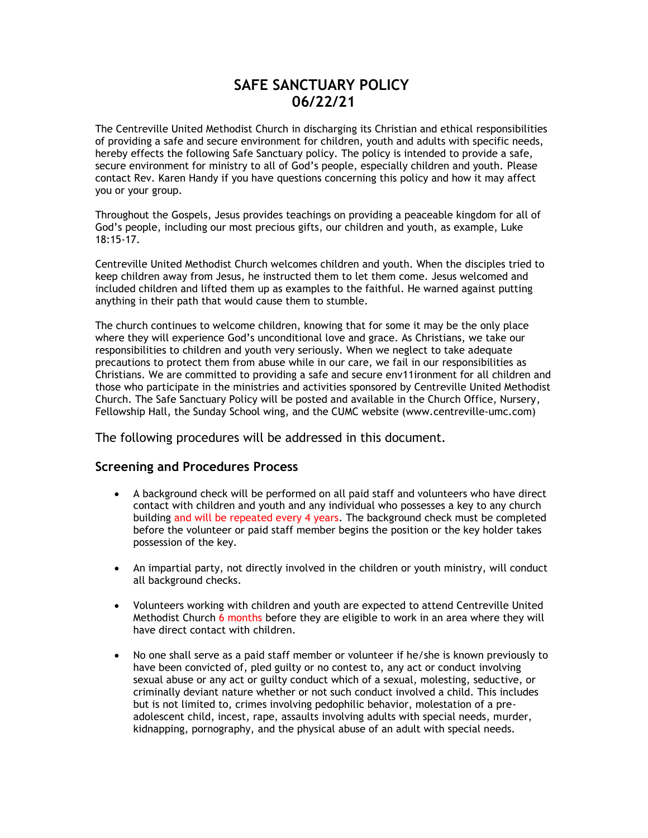# **SAFE SANCTUARY POLICY 06/22/21**

The Centreville United Methodist Church in discharging its Christian and ethical responsibilities of providing a safe and secure environment for children, youth and adults with specific needs, hereby effects the following Safe Sanctuary policy. The policy is intended to provide a safe, secure environment for ministry to all of God's people, especially children and youth. Please contact Rev. Karen Handy if you have questions concerning this policy and how it may affect you or your group.

Throughout the Gospels, Jesus provides teachings on providing a peaceable kingdom for all of God's people, including our most precious gifts, our children and youth, as example, Luke 18:15-17.

Centreville United Methodist Church welcomes children and youth. When the disciples tried to keep children away from Jesus, he instructed them to let them come. Jesus welcomed and included children and lifted them up as examples to the faithful. He warned against putting anything in their path that would cause them to stumble.

The church continues to welcome children, knowing that for some it may be the only place where they will experience God's unconditional love and grace. As Christians, we take our responsibilities to children and youth very seriously. When we neglect to take adequate precautions to protect them from abuse while in our care, we fail in our responsibilities as Christians. We are committed to providing a safe and secure env11ironment for all children and those who participate in the ministries and activities sponsored by Centreville United Methodist Church. The Safe Sanctuary Policy will be posted and available in the Church Office, Nursery, Fellowship Hall, the Sunday School wing, and the CUMC website (www.centreville-umc.com)

The following procedures will be addressed in this document.

## **Screening and Procedures Process**

- A background check will be performed on all paid staff and volunteers who have direct contact with children and youth and any individual who possesses a key to any church building and will be repeated every 4 years. The background check must be completed before the volunteer or paid staff member begins the position or the key holder takes possession of the key.
- An impartial party, not directly involved in the children or youth ministry, will conduct all background checks.
- Volunteers working with children and youth are expected to attend Centreville United Methodist Church 6 months before they are eligible to work in an area where they will have direct contact with children.
- No one shall serve as a paid staff member or volunteer if he/she is known previously to have been convicted of, pled guilty or no contest to, any act or conduct involving sexual abuse or any act or guilty conduct which of a sexual, molesting, seductive, or criminally deviant nature whether or not such conduct involved a child. This includes but is not limited to, crimes involving pedophilic behavior, molestation of a preadolescent child, incest, rape, assaults involving adults with special needs, murder, kidnapping, pornography, and the physical abuse of an adult with special needs.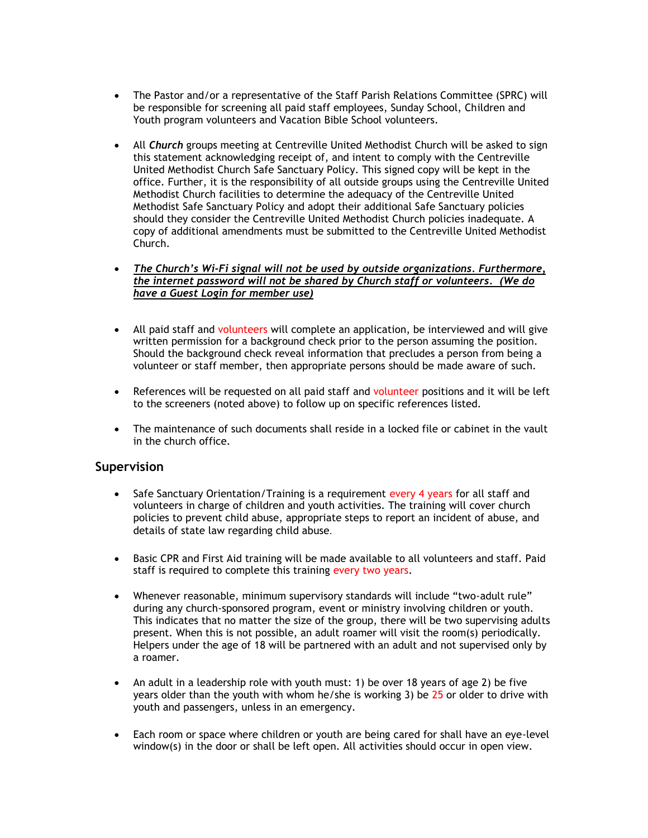- The Pastor and/or a representative of the Staff Parish Relations Committee (SPRC) will be responsible for screening all paid staff employees, Sunday School, Children and Youth program volunteers and Vacation Bible School volunteers.
- All *Church* groups meeting at Centreville United Methodist Church will be asked to sign this statement acknowledging receipt of, and intent to comply with the Centreville United Methodist Church Safe Sanctuary Policy. This signed copy will be kept in the office. Further, it is the responsibility of all outside groups using the Centreville United Methodist Church facilities to determine the adequacy of the Centreville United Methodist Safe Sanctuary Policy and adopt their additional Safe Sanctuary policies should they consider the Centreville United Methodist Church policies inadequate. A copy of additional amendments must be submitted to the Centreville United Methodist Church.
- *The Church's Wi-Fi signal will not be used by outside organizations. Furthermore, the internet password will not be shared by Church staff or volunteers. (We do have a Guest Login for member use)*
- All paid staff and volunteers will complete an application, be interviewed and will give written permission for a background check prior to the person assuming the position. Should the background check reveal information that precludes a person from being a volunteer or staff member, then appropriate persons should be made aware of such.
- References will be requested on all paid staff and volunteer positions and it will be left to the screeners (noted above) to follow up on specific references listed.
- The maintenance of such documents shall reside in a locked file or cabinet in the vault in the church office.

### **Supervision**

- Safe Sanctuary Orientation/Training is a requirement every 4 years for all staff and volunteers in charge of children and youth activities. The training will cover church policies to prevent child abuse, appropriate steps to report an incident of abuse, and details of state law regarding child abuse.
- Basic CPR and First Aid training will be made available to all volunteers and staff. Paid staff is required to complete this training every two years.
- Whenever reasonable, minimum supervisory standards will include "two-adult rule" during any church-sponsored program, event or ministry involving children or youth. This indicates that no matter the size of the group, there will be two supervising adults present. When this is not possible, an adult roamer will visit the room(s) periodically. Helpers under the age of 18 will be partnered with an adult and not supervised only by a roamer.
- An adult in a leadership role with youth must: 1) be over 18 years of age 2) be five years older than the youth with whom he/she is working 3) be 25 or older to drive with youth and passengers, unless in an emergency.
- Each room or space where children or youth are being cared for shall have an eye-level window(s) in the door or shall be left open. All activities should occur in open view.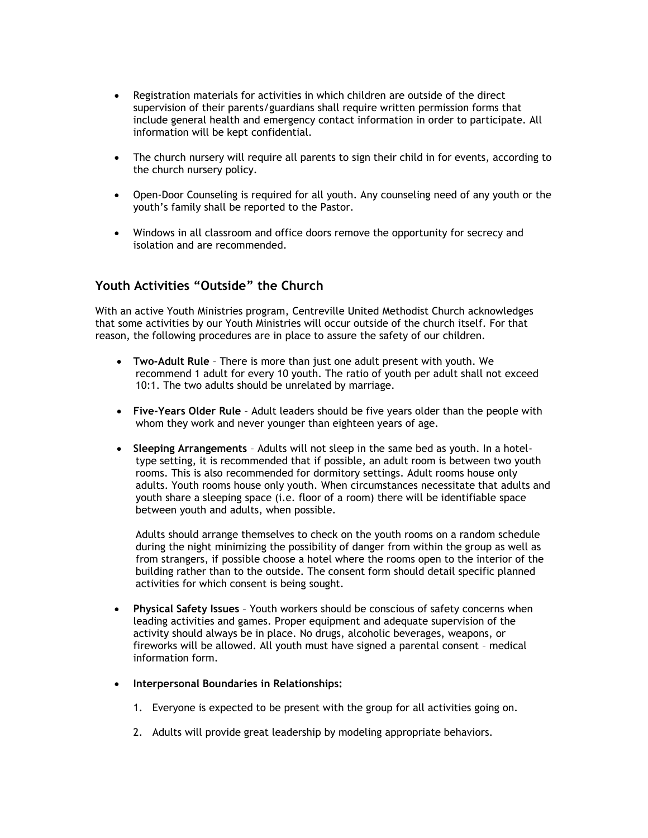- Registration materials for activities in which children are outside of the direct supervision of their parents/guardians shall require written permission forms that include general health and emergency contact information in order to participate. All information will be kept confidential.
- The church nursery will require all parents to sign their child in for events, according to the church nursery policy.
- Open-Door Counseling is required for all youth. Any counseling need of any youth or the youth's family shall be reported to the Pastor.
- Windows in all classroom and office doors remove the opportunity for secrecy and isolation and are recommended.

# **Youth Activities "Outside" the Church**

With an active Youth Ministries program, Centreville United Methodist Church acknowledges that some activities by our Youth Ministries will occur outside of the church itself. For that reason, the following procedures are in place to assure the safety of our children.

- **Two-Adult Rule** There is more than just one adult present with youth. We recommend 1 adult for every 10 youth. The ratio of youth per adult shall not exceed 10:1. The two adults should be unrelated by marriage.
- **Five-Years Older Rule** Adult leaders should be five years older than the people with whom they work and never younger than eighteen years of age.
- **Sleeping Arrangements** Adults will not sleep in the same bed as youth. In a hoteltype setting, it is recommended that if possible, an adult room is between two youth rooms. This is also recommended for dormitory settings. Adult rooms house only adults. Youth rooms house only youth. When circumstances necessitate that adults and youth share a sleeping space (i.e. floor of a room) there will be identifiable space between youth and adults, when possible.

Adults should arrange themselves to check on the youth rooms on a random schedule during the night minimizing the possibility of danger from within the group as well as from strangers, if possible choose a hotel where the rooms open to the interior of the building rather than to the outside. The consent form should detail specific planned activities for which consent is being sought.

- **Physical Safety Issues** Youth workers should be conscious of safety concerns when leading activities and games. Proper equipment and adequate supervision of the activity should always be in place. No drugs, alcoholic beverages, weapons, or fireworks will be allowed. All youth must have signed a parental consent – medical information form.
- **Interpersonal Boundaries in Relationships:**
	- 1. Everyone is expected to be present with the group for all activities going on.
	- 2. Adults will provide great leadership by modeling appropriate behaviors.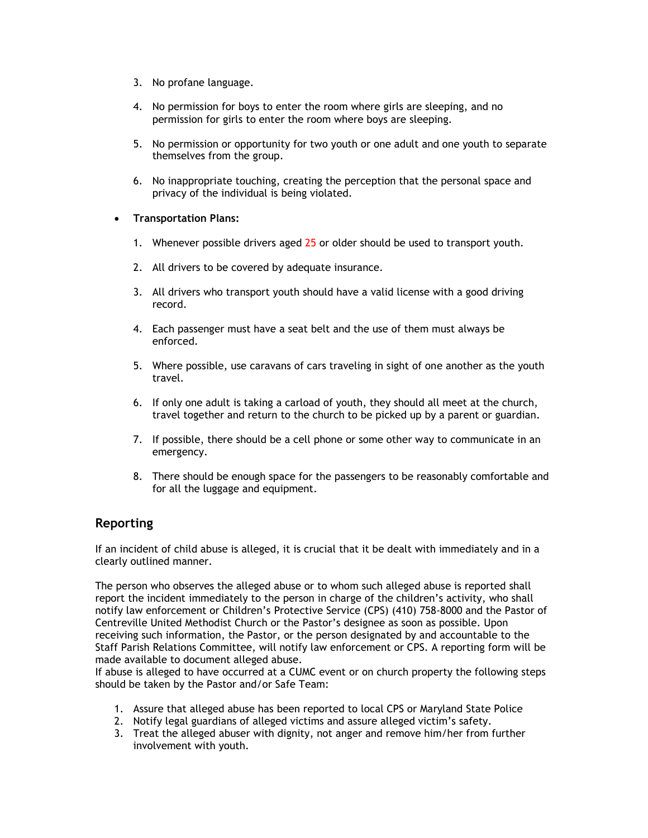- 3. No profane language.
- 4. No permission for boys to enter the room where girls are sleeping, and no permission for girls to enter the room where boys are sleeping.
- 5. No permission or opportunity for two youth or one adult and one youth to separate themselves from the group.
- 6. No inappropriate touching, creating the perception that the personal space and privacy of the individual is being violated.
- **Transportation Plans:**
	- 1. Whenever possible drivers aged 25 or older should be used to transport youth.
	- 2. All drivers to be covered by adequate insurance.
	- 3. All drivers who transport youth should have a valid license with a good driving record.
	- 4. Each passenger must have a seat belt and the use of them must always be enforced.
	- 5. Where possible, use caravans of cars traveling in sight of one another as the youth travel.
	- 6. If only one adult is taking a carload of youth, they should all meet at the church, travel together and return to the church to be picked up by a parent or guardian.
	- 7. If possible, there should be a cell phone or some other way to communicate in an emergency.
	- 8. There should be enough space for the passengers to be reasonably comfortable and for all the luggage and equipment.

# **Reporting**

If an incident of child abuse is alleged, it is crucial that it be dealt with immediately and in a clearly outlined manner.

The person who observes the alleged abuse or to whom such alleged abuse is reported shall report the incident immediately to the person in charge of the children's activity, who shall notify law enforcement or Children's Protective Service (CPS) (410) 758-8000 and the Pastor of Centreville United Methodist Church or the Pastor's designee as soon as possible. Upon receiving such information, the Pastor, or the person designated by and accountable to the Staff Parish Relations Committee, will notify law enforcement or CPS. A reporting form will be made available to document alleged abuse.

If abuse is alleged to have occurred at a CUMC event or on church property the following steps should be taken by the Pastor and/or Safe Team:

- 1. Assure that alleged abuse has been reported to local CPS or Maryland State Police
- 2. Notify legal guardians of alleged victims and assure alleged victim's safety.
- 3. Treat the alleged abuser with dignity, not anger and remove him/her from further involvement with youth.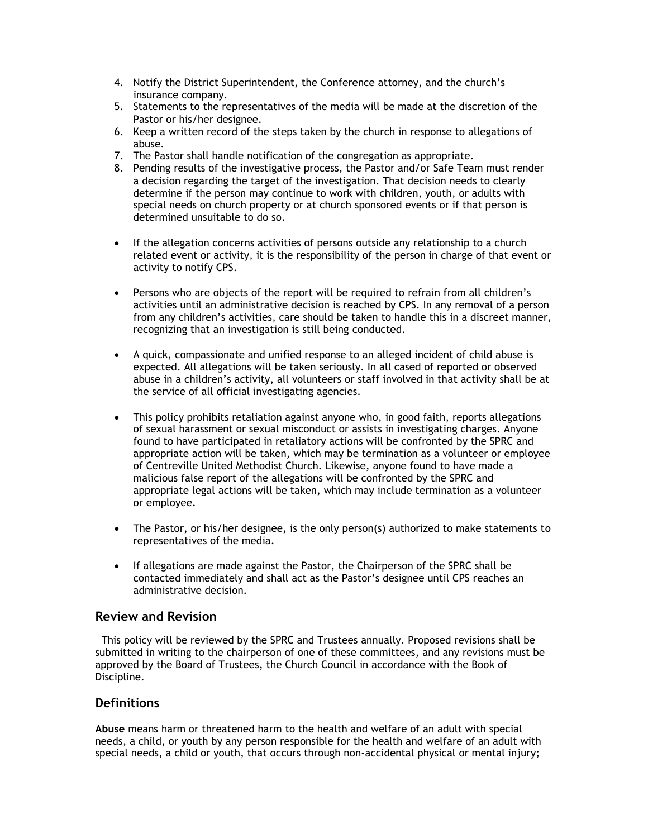- 4. Notify the District Superintendent, the Conference attorney, and the church's insurance company.
- 5. Statements to the representatives of the media will be made at the discretion of the Pastor or his/her designee.
- 6. Keep a written record of the steps taken by the church in response to allegations of abuse.
- 7. The Pastor shall handle notification of the congregation as appropriate.
- 8. Pending results of the investigative process, the Pastor and/or Safe Team must render a decision regarding the target of the investigation. That decision needs to clearly determine if the person may continue to work with children, youth, or adults with special needs on church property or at church sponsored events or if that person is determined unsuitable to do so.
- If the allegation concerns activities of persons outside any relationship to a church related event or activity, it is the responsibility of the person in charge of that event or activity to notify CPS.
- Persons who are objects of the report will be required to refrain from all children's activities until an administrative decision is reached by CPS. In any removal of a person from any children's activities, care should be taken to handle this in a discreet manner, recognizing that an investigation is still being conducted.
- A quick, compassionate and unified response to an alleged incident of child abuse is expected. All allegations will be taken seriously. In all cased of reported or observed abuse in a children's activity, all volunteers or staff involved in that activity shall be at the service of all official investigating agencies.
- This policy prohibits retaliation against anyone who, in good faith, reports allegations of sexual harassment or sexual misconduct or assists in investigating charges. Anyone found to have participated in retaliatory actions will be confronted by the SPRC and appropriate action will be taken, which may be termination as a volunteer or employee of Centreville United Methodist Church. Likewise, anyone found to have made a malicious false report of the allegations will be confronted by the SPRC and appropriate legal actions will be taken, which may include termination as a volunteer or employee.
- The Pastor, or his/her designee, is the only person(s) authorized to make statements to representatives of the media.
- If allegations are made against the Pastor, the Chairperson of the SPRC shall be contacted immediately and shall act as the Pastor's designee until CPS reaches an administrative decision.

### **Review and Revision**

 This policy will be reviewed by the SPRC and Trustees annually. Proposed revisions shall be submitted in writing to the chairperson of one of these committees, and any revisions must be approved by the Board of Trustees, the Church Council in accordance with the Book of Discipline.

## **Definitions**

**Abuse** means harm or threatened harm to the health and welfare of an adult with special needs, a child, or youth by any person responsible for the health and welfare of an adult with special needs, a child or youth, that occurs through non-accidental physical or mental injury;